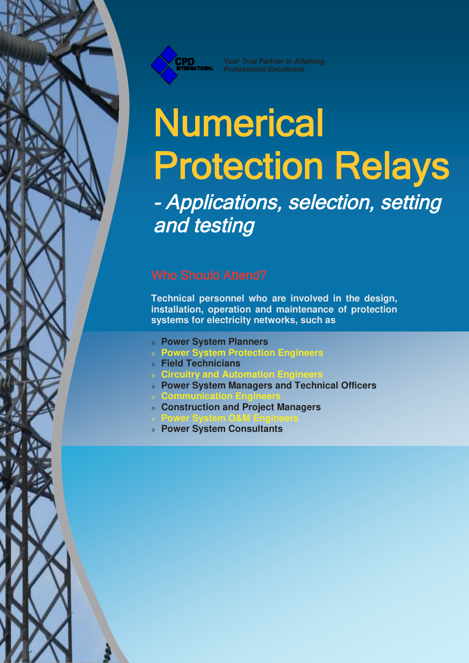

*Your True Partner in Attaining Professional Excellence*

# **Numerical** Protection Relays

 Applications, selection, setting and testing

**Technical personnel who are involved in the design, installation, operation and maintenance of protection systems for electricity networks, such as**

- ◊ **Power System Planners**
- ◊ **Power System Protection Engineers**
- ◊ **Field Technicians**
- ◊ **Circuitry and Automation Engineers**
- ◊ **Power System Managers and Technical Officers**
- ◊ **Communication Engineers**
- ◊ **Construction and Project Managers**
- ◊ **Power System O&M Engineers**
- ◊ **Power System Consultants**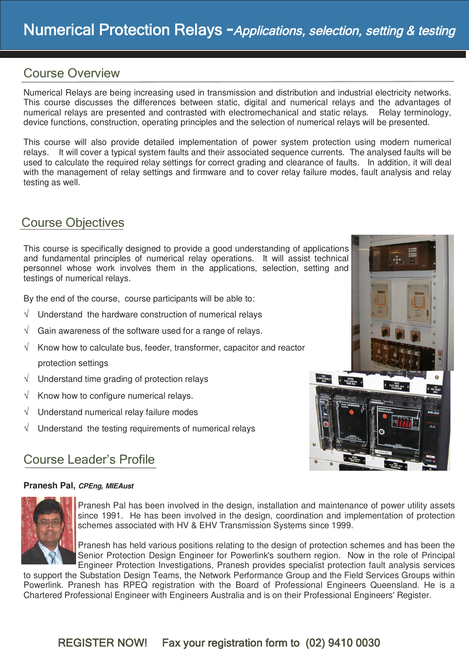#### Course Overview

Numerical Relays are being increasing used in transmission and distribution and industrial electricity networks. This course discusses the differences between static, digital and numerical relays and the advantages of numerical relays are presented and contrasted with electromechanical and static relays. Relay terminology, device functions, construction, operating principles and the selection of numerical relays will be presented.

This course will also provide detailed implementation of power system protection using modern numerical relays. It will cover a typical system faults and their associated sequence currents. The analysed faults will be used to calculate the required relay settings for correct grading and clearance of faults. In addition, it will deal with the management of relay settings and firmware and to cover relay failure modes, fault analysis and relay testing as well.

#### Course Objectives

This course is specifically designed to provide a good understanding of applications and fundamental principles of numerical relay operations. It will assist technical personnel whose work involves them in the applications, selection, setting and testings of numerical relays.

By the end of the course, course participants will be able to:

- $\sqrt{ }$  Understand the hardware construction of numerical relays
- Gain awareness of the software used for a range of relays.
- Know how to calculate bus, feeder, transformer, capacitor and reactor protection settings
- Understand time grading of protection relays
- $\sqrt{\phantom{a}}$  Know how to configure numerical relays.
- $\sqrt{ }$  Understand numerical relay failure modes
- Understand the testing requirements of numerical relays

### Course Leader's Profile

#### **Pranesh Pal,** *CPEng, MIEAust*



Pranesh Pal has been involved in the design, installation and maintenance of power utility assets since 1991. He has been involved in the design, coordination and implementation of protection schemes associated with HV & EHV Transmission Systems since 1999.

Pranesh has held various positions relating to the design of protection schemes and has been the Senior Protection Design Engineer for Powerlink's southern region. Now in the role of Principal Engineer Protection Investigations, Pranesh provides specialist protection fault analysis services

to support the Substation Design Teams, the Network Performance Group and the Field Services Groups within Powerlink. Pranesh has RPEQ registration with the Board of Professional Engineers Queensland. He is a Chartered Professional Engineer with Engineers Australia and is on their Professional Engineers' Register.

### REGISTER NOW! Fax your registration form to (02) 9410 0030